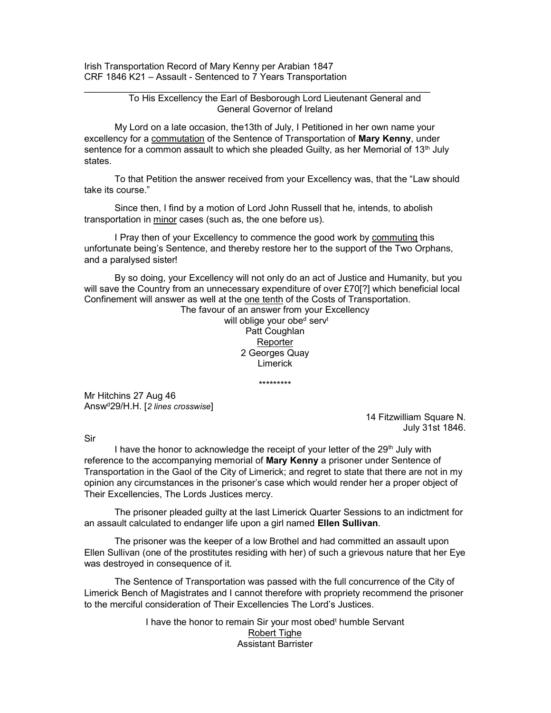Irish Transportation Record of Mary Kenny per Arabian 1847 CRF 1846 K21 – Assault - Sentenced to 7 Years Transportation

> To His Excellency the Earl of Besborough Lord Lieutenant General and General Governor of Ireland

 My Lord on a late occasion, the13th of July, I Petitioned in her own name your excellency for a commutation of the Sentence of Transportation of Mary Kenny, under sentence for a common assault to which she pleaded Guilty, as her Memorial of 13th July states.

 To that Petition the answer received from your Excellency was, that the "Law should take its course."

 Since then, I find by a motion of Lord John Russell that he, intends, to abolish transportation in minor cases (such as, the one before us).

I Pray then of your Excellency to commence the good work by commuting this unfortunate being's Sentence, and thereby restore her to the support of the Two Orphans, and a paralysed sister!

 By so doing, your Excellency will not only do an act of Justice and Humanity, but you will save the Country from an unnecessary expenditure of over £70[?] which beneficial local Confinement will answer as well at the one tenth of the Costs of Transportation.

The favour of an answer from your Excellency will oblige your obed serv<sup>t</sup> Patt Coughlan **Reporter** 2 Georges Quay Limerick

\*\*\*\*\*\*\*\*\*

Mr Hitchins 27 Aug 46 Answ<sup>d</sup>29/H.H. [2 lines crosswise]

14 Fitzwilliam Square N. July 31st 1846.

Sir

I have the honor to acknowledge the receipt of your letter of the 29<sup>th</sup> July with reference to the accompanying memorial of Mary Kenny a prisoner under Sentence of Transportation in the Gaol of the City of Limerick; and regret to state that there are not in my opinion any circumstances in the prisoner's case which would render her a proper object of Their Excellencies, The Lords Justices mercy.

 The prisoner pleaded guilty at the last Limerick Quarter Sessions to an indictment for an assault calculated to endanger life upon a girl named Ellen Sullivan.

 The prisoner was the keeper of a low Brothel and had committed an assault upon Ellen Sullivan (one of the prostitutes residing with her) of such a grievous nature that her Eye was destroyed in consequence of it.

 The Sentence of Transportation was passed with the full concurrence of the City of Limerick Bench of Magistrates and I cannot therefore with propriety recommend the prisoner to the merciful consideration of Their Excellencies The Lord's Justices.

> I have the honor to remain Sir your most obed<sup>t</sup> humble Servant Robert Tighe Assistant Barrister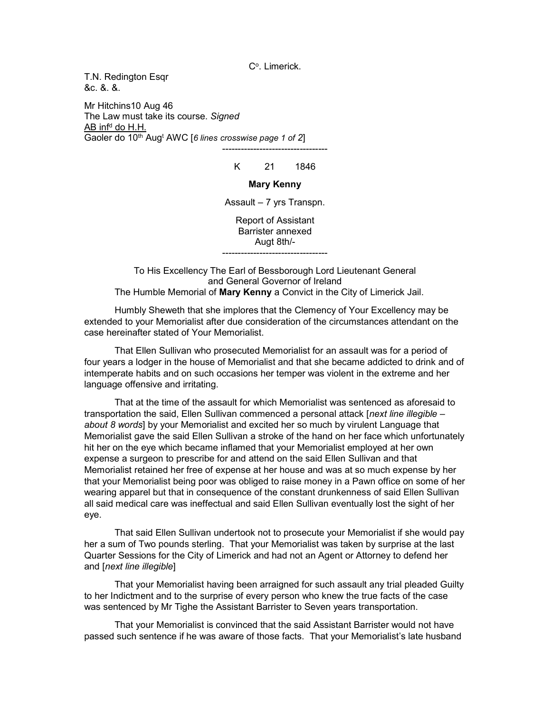C°. Limerick.

T.N. Redington Esqr &c. &. &.

Mr Hitchins10 Aug 46 The Law must take its course. Signed <u>AB infª do H.H.</u> Gaoler do 10<sup>th</sup> Aug<sup>t</sup> AWC [6 lines crosswise page 1 of 2]

K 21 1846

----------------------------------

## Mary Kenny

Assault – 7 yrs Transpn.

Report of Assistant Barrister annexed Augt 8th/- ----------------------------------

To His Excellency The Earl of Bessborough Lord Lieutenant General and General Governor of Ireland The Humble Memorial of Mary Kenny a Convict in the City of Limerick Jail.

 Humbly Sheweth that she implores that the Clemency of Your Excellency may be extended to your Memorialist after due consideration of the circumstances attendant on the case hereinafter stated of Your Memorialist.

 That Ellen Sullivan who prosecuted Memorialist for an assault was for a period of four years a lodger in the house of Memorialist and that she became addicted to drink and of intemperate habits and on such occasions her temper was violent in the extreme and her language offensive and irritating.

 That at the time of the assault for which Memorialist was sentenced as aforesaid to transportation the said, Ellen Sullivan commenced a personal attack [next line illegible – about 8 words] by your Memorialist and excited her so much by virulent Language that Memorialist gave the said Ellen Sullivan a stroke of the hand on her face which unfortunately hit her on the eye which became inflamed that your Memorialist employed at her own expense a surgeon to prescribe for and attend on the said Ellen Sullivan and that Memorialist retained her free of expense at her house and was at so much expense by her that your Memorialist being poor was obliged to raise money in a Pawn office on some of her wearing apparel but that in consequence of the constant drunkenness of said Ellen Sullivan all said medical care was ineffectual and said Ellen Sullivan eventually lost the sight of her eye.

 That said Ellen Sullivan undertook not to prosecute your Memorialist if she would pay her a sum of Two pounds sterling. That your Memorialist was taken by surprise at the last Quarter Sessions for the City of Limerick and had not an Agent or Attorney to defend her and [next line illegible]

 That your Memorialist having been arraigned for such assault any trial pleaded Guilty to her Indictment and to the surprise of every person who knew the true facts of the case was sentenced by Mr Tighe the Assistant Barrister to Seven years transportation.

 That your Memorialist is convinced that the said Assistant Barrister would not have passed such sentence if he was aware of those facts. That your Memorialist's late husband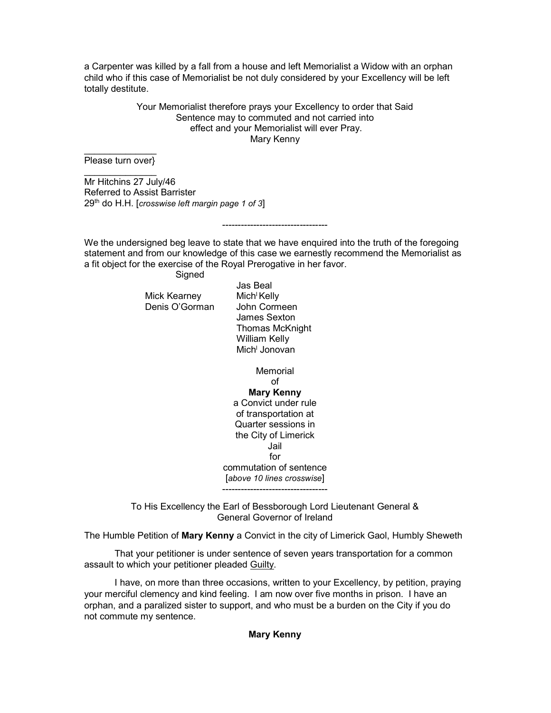a Carpenter was killed by a fall from a house and left Memorialist a Widow with an orphan child who if this case of Memorialist be not duly considered by your Excellency will be left totally destitute.

> Your Memorialist therefore prays your Excellency to order that Said Sentence may to commuted and not carried into effect and your Memorialist will ever Pray. Mary Kenny

 $\overline{\phantom{a}}$ Please turn over}  $\overline{\phantom{a}}$ 

Mr Hitchins 27 July/46 Referred to Assist Barrister 29<sup>th</sup> do H.H. [crosswise left margin page 1 of 3]

We the undersigned beg leave to state that we have enquired into the truth of the foregoing statement and from our knowledge of this case we earnestly recommend the Memorialist as a fit object for the exercise of the Royal Prerogative in her favor.

----------------------------------

Signed

Mick Kearney Mich<sup>'</sup> Kelly Denis O'Gorman John Cormeen

 Jas Beal James Sexton Thomas McKnight William Kelly e a that is a three Mich<sup>i</sup> Jonovan

> **Memorial** of Mary Kenny a Convict under rule of transportation at Quarter sessions in the City of Limerick Jail for commutation of sentence [above 10 lines crosswise]

To His Excellency the Earl of Bessborough Lord Lieutenant General & General Governor of Ireland

----------------------------------

The Humble Petition of Mary Kenny a Convict in the city of Limerick Gaol, Humbly Sheweth

 That your petitioner is under sentence of seven years transportation for a common assault to which your petitioner pleaded Guilty.

 I have, on more than three occasions, written to your Excellency, by petition, praying your merciful clemency and kind feeling. I am now over five months in prison. I have an orphan, and a paralized sister to support, and who must be a burden on the City if you do not commute my sentence.

## Mary Kenny